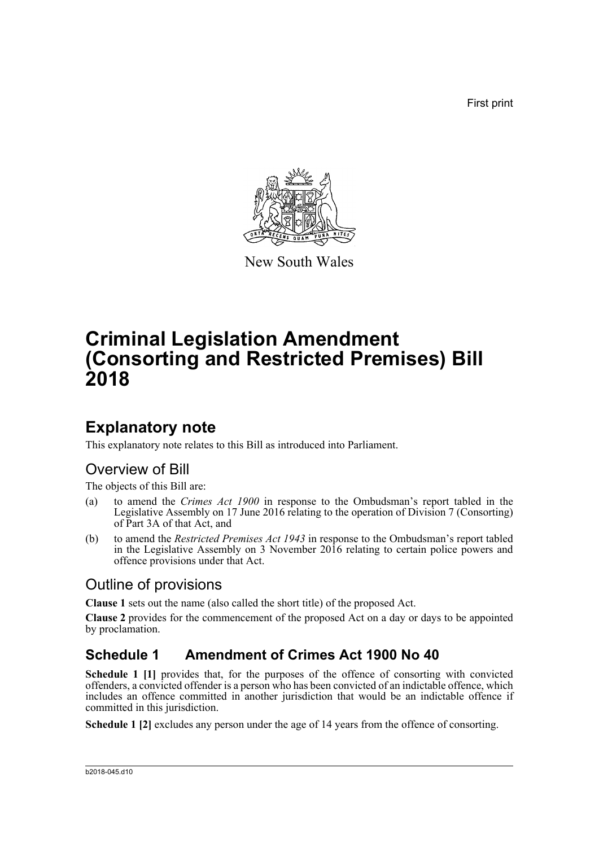First print



New South Wales

# **Criminal Legislation Amendment (Consorting and Restricted Premises) Bill 2018**

## **Explanatory note**

This explanatory note relates to this Bill as introduced into Parliament.

## Overview of Bill

The objects of this Bill are:

- (a) to amend the *Crimes Act 1900* in response to the Ombudsman's report tabled in the Legislative Assembly on 17 June 2016 relating to the operation of Division 7 (Consorting) of Part 3A of that Act, and
- (b) to amend the *Restricted Premises Act 1943* in response to the Ombudsman's report tabled in the Legislative Assembly on 3 November 2016 relating to certain police powers and offence provisions under that Act.

## Outline of provisions

**Clause 1** sets out the name (also called the short title) of the proposed Act.

**Clause 2** provides for the commencement of the proposed Act on a day or days to be appointed by proclamation.

## **Schedule 1 Amendment of Crimes Act 1900 No 40**

Schedule 1 [1] provides that, for the purposes of the offence of consorting with convicted offenders, a convicted offender is a person who has been convicted of an indictable offence, which includes an offence committed in another jurisdiction that would be an indictable offence if committed in this jurisdiction.

**Schedule 1 [2]** excludes any person under the age of 14 years from the offence of consorting.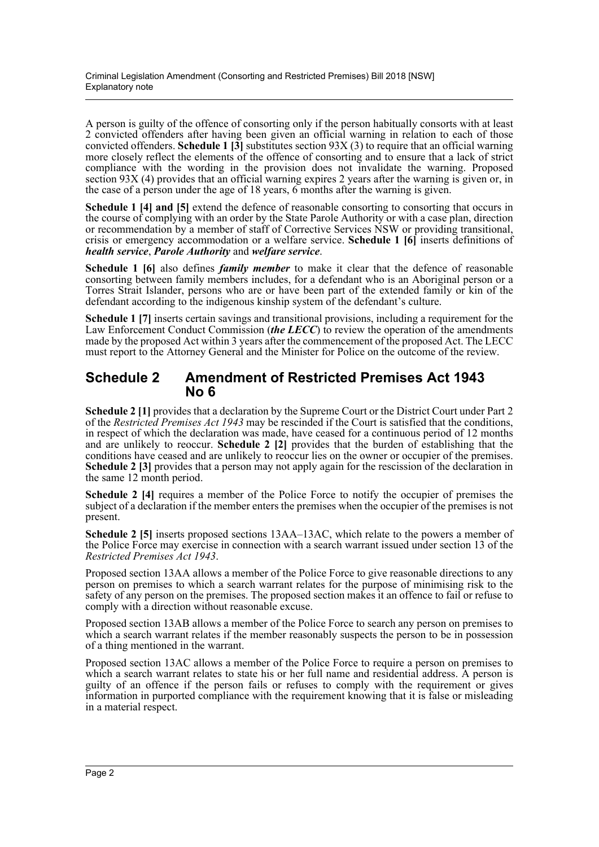A person is guilty of the offence of consorting only if the person habitually consorts with at least 2 convicted offenders after having been given an official warning in relation to each of those convicted offenders. **Schedule 1 [3]** substitutes section 93X (3) to require that an official warning more closely reflect the elements of the offence of consorting and to ensure that a lack of strict compliance with the wording in the provision does not invalidate the warning. Proposed section 93X (4) provides that an official warning expires 2 years after the warning is given or, in the case of a person under the age of 18 years, 6 months after the warning is given.

**Schedule 1 [4] and [5]** extend the defence of reasonable consorting to consorting that occurs in the course of complying with an order by the State Parole Authority or with a case plan, direction or recommendation by a member of staff of Corrective Services NSW or providing transitional, crisis or emergency accommodation or a welfare service. **Schedule 1 [6]** inserts definitions of *health service*, *Parole Authority* and *welfare service*.

**Schedule 1 [6]** also defines *family member* to make it clear that the defence of reasonable consorting between family members includes, for a defendant who is an Aboriginal person or a Torres Strait Islander, persons who are or have been part of the extended family or kin of the defendant according to the indigenous kinship system of the defendant's culture.

**Schedule 1 [7]** inserts certain savings and transitional provisions, including a requirement for the Law Enforcement Conduct Commission (*the LECC*) to review the operation of the amendments made by the proposed Act within 3 years after the commencement of the proposed Act. The LECC must report to the Attorney General and the Minister for Police on the outcome of the review.

### **Schedule 2 Amendment of Restricted Premises Act 1943 No 6**

**Schedule 2 [1]** provides that a declaration by the Supreme Court or the District Court under Part 2 of the *Restricted Premises Act 1943* may be rescinded if the Court is satisfied that the conditions, in respect of which the declaration was made, have ceased for a continuous period of 12 months and are unlikely to reoccur. **Schedule 2 [2]** provides that the burden of establishing that the conditions have ceased and are unlikely to reoccur lies on the owner or occupier of the premises. **Schedule 2 [3]** provides that a person may not apply again for the rescission of the declaration in the same 12 month period.

**Schedule 2 [4]** requires a member of the Police Force to notify the occupier of premises the subject of a declaration if the member enters the premises when the occupier of the premises is not present.

**Schedule 2 [5]** inserts proposed sections 13AA–13AC, which relate to the powers a member of the Police Force may exercise in connection with a search warrant issued under section 13 of the *Restricted Premises Act 1943*.

Proposed section 13AA allows a member of the Police Force to give reasonable directions to any person on premises to which a search warrant relates for the purpose of minimising risk to the safety of any person on the premises. The proposed section makes it an offence to fail or refuse to comply with a direction without reasonable excuse.

Proposed section 13AB allows a member of the Police Force to search any person on premises to which a search warrant relates if the member reasonably suspects the person to be in possession of a thing mentioned in the warrant.

Proposed section 13AC allows a member of the Police Force to require a person on premises to which a search warrant relates to state his or her full name and residential address. A person is guilty of an offence if the person fails or refuses to comply with the requirement or gives information in purported compliance with the requirement knowing that it is false or misleading in a material respect.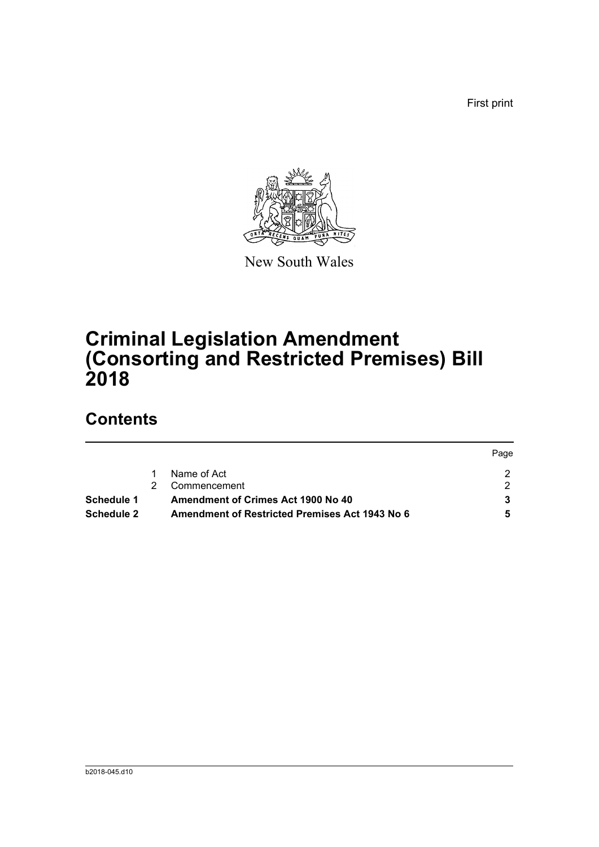First print

Page



New South Wales

# **Criminal Legislation Amendment (Consorting and Restricted Premises) Bill 2018**

## **Contents**

|                   |                                                | <b>Page</b> |
|-------------------|------------------------------------------------|-------------|
|                   | Name of Act                                    |             |
|                   | Commencement                                   |             |
| Schedule 1        | Amendment of Crimes Act 1900 No 40             |             |
| <b>Schedule 2</b> | Amendment of Restricted Premises Act 1943 No 6 |             |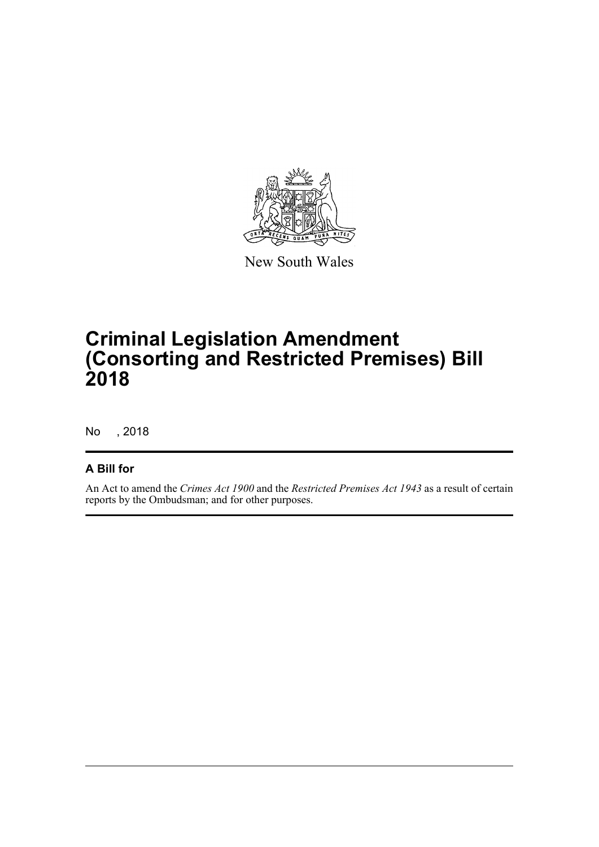

New South Wales

# **Criminal Legislation Amendment (Consorting and Restricted Premises) Bill 2018**

No , 2018

### **A Bill for**

An Act to amend the *Crimes Act 1900* and the *Restricted Premises Act 1943* as a result of certain reports by the Ombudsman; and for other purposes.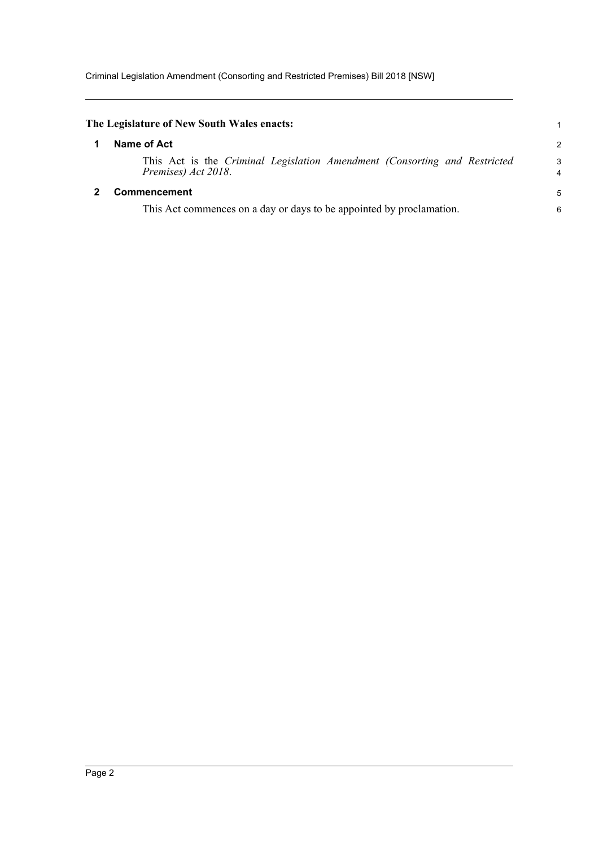Criminal Legislation Amendment (Consorting and Restricted Premises) Bill 2018 [NSW]

<span id="page-4-1"></span><span id="page-4-0"></span>

| The Legislature of New South Wales enacts:                                                       | 1             |  |
|--------------------------------------------------------------------------------------------------|---------------|--|
| Name of Act                                                                                      | $\mathcal{P}$ |  |
| This Act is the Criminal Legislation Amendment (Consorting and Restricted<br>Premises) Act 2018. | 3<br>4        |  |
| <b>Commencement</b>                                                                              |               |  |
| This Act commences on a day or days to be appointed by proclamation.                             | 6             |  |
|                                                                                                  |               |  |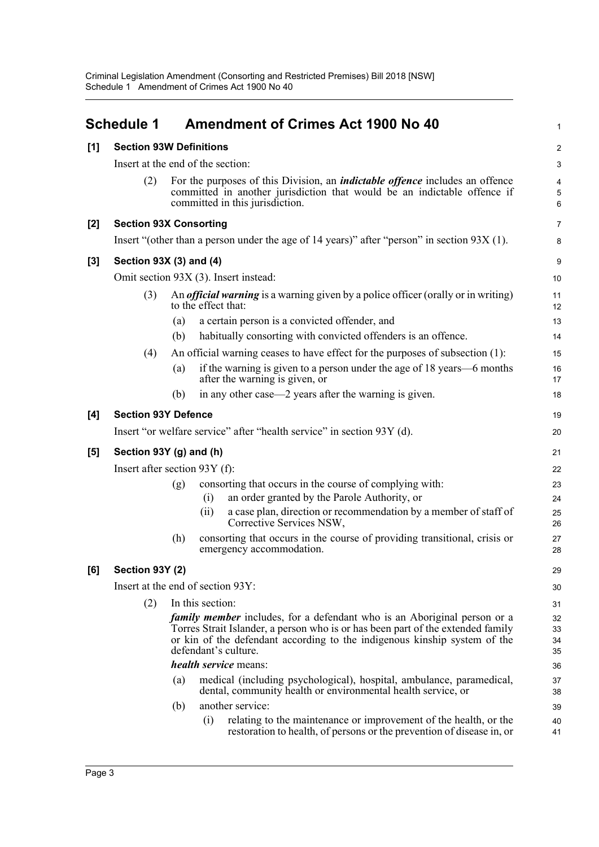<span id="page-5-0"></span>

|     | <b>Schedule 1</b>                                                                             |                                                                                                                                                                                                    |                      | <b>Amendment of Crimes Act 1900 No 40</b>                                                                                                                                                                                                       | $\mathbf{1}$         |  |
|-----|-----------------------------------------------------------------------------------------------|----------------------------------------------------------------------------------------------------------------------------------------------------------------------------------------------------|----------------------|-------------------------------------------------------------------------------------------------------------------------------------------------------------------------------------------------------------------------------------------------|----------------------|--|
| [1] | <b>Section 93W Definitions</b>                                                                |                                                                                                                                                                                                    |                      |                                                                                                                                                                                                                                                 |                      |  |
|     | Insert at the end of the section:                                                             |                                                                                                                                                                                                    |                      |                                                                                                                                                                                                                                                 |                      |  |
|     | (2)                                                                                           | For the purposes of this Division, an <i>indictable offence</i> includes an offence<br>committed in another jurisdiction that would be an indictable offence if<br>committed in this jurisdiction. |                      |                                                                                                                                                                                                                                                 |                      |  |
| [2] | <b>Section 93X Consorting</b>                                                                 |                                                                                                                                                                                                    |                      |                                                                                                                                                                                                                                                 |                      |  |
|     | Insert "(other than a person under the age of 14 years)" after "person" in section $93X(1)$ . |                                                                                                                                                                                                    |                      |                                                                                                                                                                                                                                                 |                      |  |
| [3] | Section 93X (3) and (4)                                                                       |                                                                                                                                                                                                    |                      |                                                                                                                                                                                                                                                 |                      |  |
|     | Omit section 93X (3). Insert instead:                                                         |                                                                                                                                                                                                    |                      |                                                                                                                                                                                                                                                 |                      |  |
|     | (3)                                                                                           | An <i>official warning</i> is a warning given by a police officer (orally or in writing)<br>to the effect that:                                                                                    |                      |                                                                                                                                                                                                                                                 | 11<br>12             |  |
|     |                                                                                               | (a)                                                                                                                                                                                                |                      | a certain person is a convicted offender, and                                                                                                                                                                                                   | 13                   |  |
|     |                                                                                               | (b)                                                                                                                                                                                                |                      | habitually consorting with convicted offenders is an offence.                                                                                                                                                                                   | 14                   |  |
|     | (4)                                                                                           | (a)                                                                                                                                                                                                |                      | An official warning ceases to have effect for the purposes of subsection (1):<br>if the warning is given to a person under the age of 18 years—6 months<br>after the warning is given, or                                                       | 15<br>16<br>17       |  |
|     |                                                                                               | (b)                                                                                                                                                                                                |                      | in any other case—2 years after the warning is given.                                                                                                                                                                                           | 18                   |  |
| [4] | <b>Section 93Y Defence</b>                                                                    |                                                                                                                                                                                                    |                      |                                                                                                                                                                                                                                                 |                      |  |
|     | Insert "or welfare service" after "health service" in section 93Y (d).                        |                                                                                                                                                                                                    |                      |                                                                                                                                                                                                                                                 |                      |  |
| [5] | Section 93Y (g) and (h)                                                                       |                                                                                                                                                                                                    |                      |                                                                                                                                                                                                                                                 |                      |  |
|     | Insert after section $93Y(f)$ :                                                               |                                                                                                                                                                                                    |                      |                                                                                                                                                                                                                                                 |                      |  |
|     |                                                                                               | (g)                                                                                                                                                                                                | (i)                  | consorting that occurs in the course of complying with:<br>an order granted by the Parole Authority, or                                                                                                                                         | 23<br>24             |  |
|     |                                                                                               |                                                                                                                                                                                                    | (ii)                 | a case plan, direction or recommendation by a member of staff of<br>Corrective Services NSW,                                                                                                                                                    | 25<br>26             |  |
|     |                                                                                               | (h)                                                                                                                                                                                                |                      | consorting that occurs in the course of providing transitional, crisis or<br>emergency accommodation.                                                                                                                                           | 27<br>28             |  |
| [6] | Section 93Y (2)                                                                               |                                                                                                                                                                                                    |                      |                                                                                                                                                                                                                                                 | 29                   |  |
|     | Insert at the end of section 93Y:                                                             |                                                                                                                                                                                                    |                      |                                                                                                                                                                                                                                                 |                      |  |
|     | (2)                                                                                           |                                                                                                                                                                                                    | In this section:     |                                                                                                                                                                                                                                                 | 31                   |  |
|     |                                                                                               |                                                                                                                                                                                                    | defendant's culture. | <i>family member</i> includes, for a defendant who is an Aboriginal person or a<br>Torres Strait Islander, a person who is or has been part of the extended family<br>or kin of the defendant according to the indigenous kinship system of the | 32<br>33<br>34<br>35 |  |
|     |                                                                                               | health service means:                                                                                                                                                                              |                      |                                                                                                                                                                                                                                                 |                      |  |
|     |                                                                                               | (a)                                                                                                                                                                                                |                      | medical (including psychological), hospital, ambulance, paramedical,<br>dental, community health or environmental health service, or                                                                                                            | 37<br>38             |  |
|     |                                                                                               | (b)                                                                                                                                                                                                | (i)                  | another service:<br>relating to the maintenance or improvement of the health, or the<br>restoration to health, of persons or the prevention of disease in, or                                                                                   | 39<br>40<br>41       |  |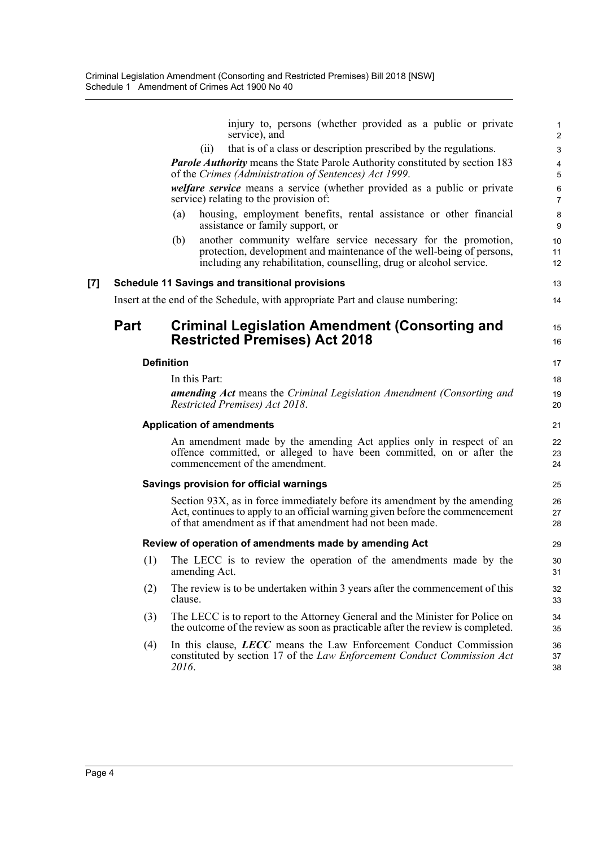injury to, persons (whether provided as a public or private service), and 2

1

4

6

11

23

27

37

(ii) that is of a class or description prescribed by the regulations. 3

*Parole Authority* means the State Parole Authority constituted by section 183 of the *Crimes (Administration of Sentences) Act 1999*. 5

*welfare service* means a service (whether provided as a public or private service) relating to the provision of: 7

- (a) housing, employment benefits, rental assistance or other financial 8 assistance or family support, or 9
- (b) another community welfare service necessary for the promotion, 10 protection, development and maintenance of the well-being of persons, including any rehabilitation, counselling, drug or alcohol service. 12

#### **[7] Schedule 11 Savings and transitional provisions** 13

Insert at the end of the Schedule, with appropriate Part and clause numbering: 14

### **Part Criminal Legislation Amendment (Consorting and 15 and 15 Restricted Premises) Act 2018** 16 16 16

#### **Definition** 17

In this Part: 18

*amending Act* means the *Criminal Legislation Amendment (Consorting and* 19 *Restricted Premises) Act 2018*. 20

#### **Application of amendments** 21

An amendment made by the amending Act applies only in respect of an 22 offence committed, or alleged to have been committed, on or after the commencement of the amendment. 24

#### **Savings provision for official warnings** 25

Section 93X, as in force immediately before its amendment by the amending 26 Act, continues to apply to an official warning given before the commencement of that amendment as if that amendment had not been made. 28

#### **Review of operation of amendments made by amending Act** 29

- (1) The LECC is to review the operation of the amendments made by the 30 amending Act. 31
- (2) The review is to be undertaken within 3 years after the commencement of this 32 clause. 33
- (3) The LECC is to report to the Attorney General and the Minister for Police on 34 the outcome of the review as soon as practicable after the review is completed. 35
- (4) In this clause, *LECC* means the Law Enforcement Conduct Commission 36 constituted by section 17 of the *Law Enforcement Conduct Commission Act* 2016. 38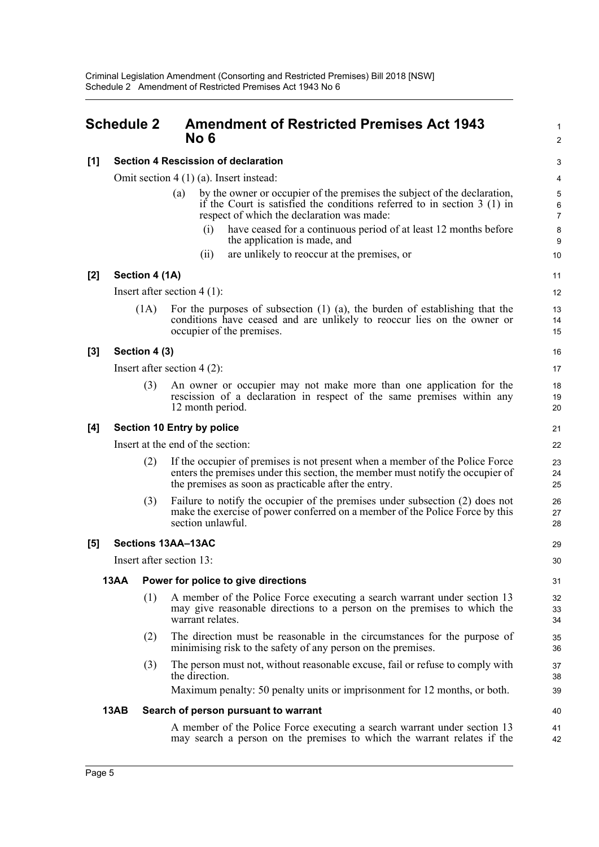### <span id="page-7-0"></span>**Schedule 2 Amendment of Restricted Premises Act 1943** <sup>1</sup> **No 6** 2

#### **[1] Section 4 Rescission of declaration** 3

Omit section 4 (1) (a). Insert instead: 4

- (a) by the owner or occupier of the premises the subject of the declaration, 5 if the Court is satisfied the conditions referred to in section 3 (1) in respect of which the declaration was made:  $\frac{7}{2}$ 
	- (i) have ceased for a continuous period of at least 12 months before 8 the application is made, and 9
	- (ii) are unlikely to reoccur at the premises, or 10

#### **[2] Section 4 (1A)** 11

Insert after section 4 (1): 12

(1A) For the purposes of subsection (1) (a), the burden of establishing that the 13 conditions have ceased and are unlikely to reoccur lies on the owner or occupier of the premises. 15

#### **[3] Section 4 (3)** 16

Insert after section 4 (2): 17

(3) An owner or occupier may not make more than one application for the 18 rescission of a declaration in respect of the same premises within any 12 month period. 20

#### **[4] Section 10 Entry by police** 21

Insert at the end of the section: 22

- (2) If the occupier of premises is not present when a member of the Police Force 23 enters the premises under this section, the member must notify the occupier of the premises as soon as practicable after the entry. 25
- (3) Failure to notify the occupier of the premises under subsection (2) does not 26 make the exercise of power conferred on a member of the Police Force by this section unlawful. 28

#### **[5] Sections 13AA–13AC** 29

Insert after section 13: 30

#### **13AA Power for police to give directions** 31

- (1) A member of the Police Force executing a search warrant under section 13 32 may give reasonable directions to a person on the premises to which the warrant relates. 34
- (2) The direction must be reasonable in the circumstances for the purpose of 35 minimising risk to the safety of any person on the premises. 36
- (3) The person must not, without reasonable excuse, fail or refuse to comply with 37 the direction. 38

Maximum penalty: 50 penalty units or imprisonment for 12 months, or both. 39

#### **13AB** Search of person pursuant to warrant **All Accords** 2008 **13AB** Search 2008

A member of the Police Force executing a search warrant under section 13 41 may search a person on the premises to which the warrant relates if the

19

14

6

33

42

27

24